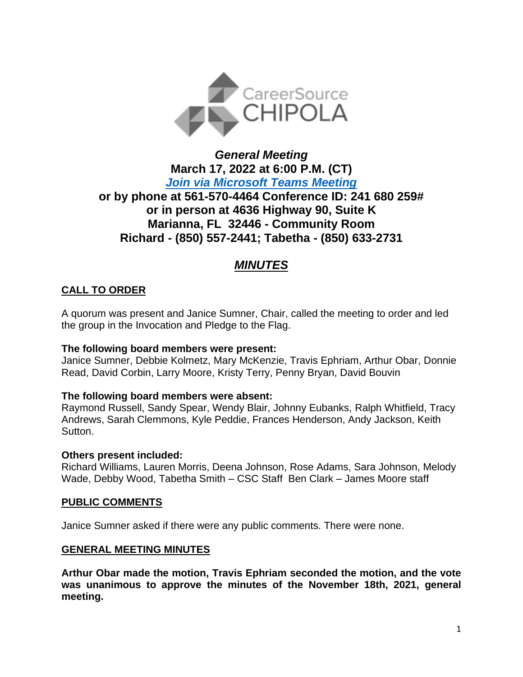

# *General Meeting* **March 17, 2022 at 6:00 P.M. (CT)** *[Join via Microsoft Teams Meeting](https://teams.microsoft.com/l/meetup-join/19%3ameeting_ZGYxZjEyZGQtNTRiZC00OTFlLThlZDgtNjJmMzE5YzM0YzU4%40thread.v2/0?context=%7b%22Tid%22%3a%22381e462d-382b-4f05-b17c-e11350250b4b%22%2c%22Oid%22%3a%22ece6f519-14be-447e-9926-70a0c0b015a7%22%7d)*  **or by phone at 561-570-4464 Conference ID: 241 680 259# or in person at 4636 Highway 90, Suite K Marianna, FL 32446 - Community Room Richard - (850) 557-2441; Tabetha - (850) 633-2731**

# *MINUTES*

# **CALL TO ORDER**

A quorum was present and Janice Sumner, Chair, called the meeting to order and led the group in the Invocation and Pledge to the Flag.

# **The following board members were present:**

Janice Sumner, Debbie Kolmetz, Mary McKenzie, Travis Ephriam, Arthur Obar, Donnie Read, David Corbin, Larry Moore, Kristy Terry, Penny Bryan, David Bouvin

#### **The following board members were absent:**

Raymond Russell, Sandy Spear, Wendy Blair, Johnny Eubanks, Ralph Whitfield, Tracy Andrews, Sarah Clemmons, Kyle Peddie, Frances Henderson, Andy Jackson, Keith Sutton.

#### **Others present included:**

Richard Williams, Lauren Morris, Deena Johnson, Rose Adams, Sara Johnson, Melody Wade, Debby Wood, Tabetha Smith – CSC Staff Ben Clark – James Moore staff

# **PUBLIC COMMENTS**

Janice Sumner asked if there were any public comments. There were none.

#### **GENERAL MEETING MINUTES**

**Arthur Obar made the motion, Travis Ephriam seconded the motion, and the vote was unanimous to approve the minutes of the November 18th, 2021, general meeting.**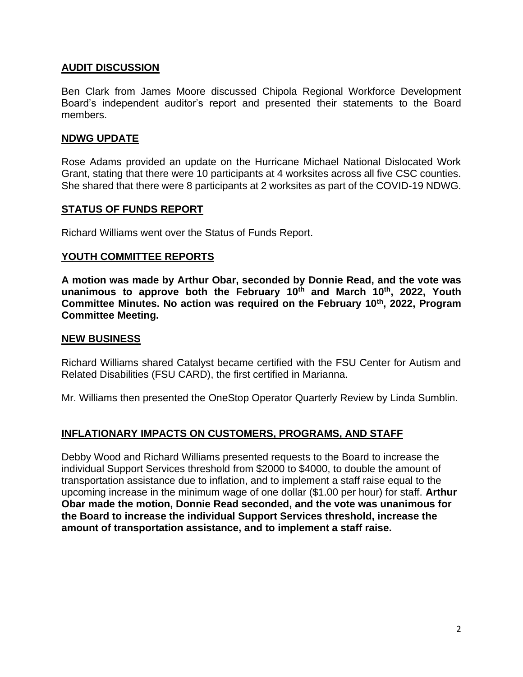### **AUDIT DISCUSSION**

Ben Clark from James Moore discussed Chipola Regional Workforce Development Board's independent auditor's report and presented their statements to the Board members.

#### **NDWG UPDATE**

Rose Adams provided an update on the Hurricane Michael National Dislocated Work Grant, stating that there were 10 participants at 4 worksites across all five CSC counties. She shared that there were 8 participants at 2 worksites as part of the COVID-19 NDWG.

#### **STATUS OF FUNDS REPORT**

Richard Williams went over the Status of Funds Report.

#### **YOUTH COMMITTEE REPORTS**

**A motion was made by Arthur Obar, seconded by Donnie Read, and the vote was unanimous to approve both the February 10th and March 10th, 2022, Youth Committee Minutes. No action was required on the February 10th, 2022, Program Committee Meeting.**

#### **NEW BUSINESS**

Richard Williams shared Catalyst became certified with the FSU Center for Autism and Related Disabilities (FSU CARD), the first certified in Marianna.

Mr. Williams then presented the OneStop Operator Quarterly Review by Linda Sumblin.

# **INFLATIONARY IMPACTS ON CUSTOMERS, PROGRAMS, AND STAFF**

Debby Wood and Richard Williams presented requests to the Board to increase the individual Support Services threshold from \$2000 to \$4000, to double the amount of transportation assistance due to inflation, and to implement a staff raise equal to the upcoming increase in the minimum wage of one dollar (\$1.00 per hour) for staff. **Arthur Obar made the motion, Donnie Read seconded, and the vote was unanimous for the Board to increase the individual Support Services threshold, increase the amount of transportation assistance, and to implement a staff raise.**